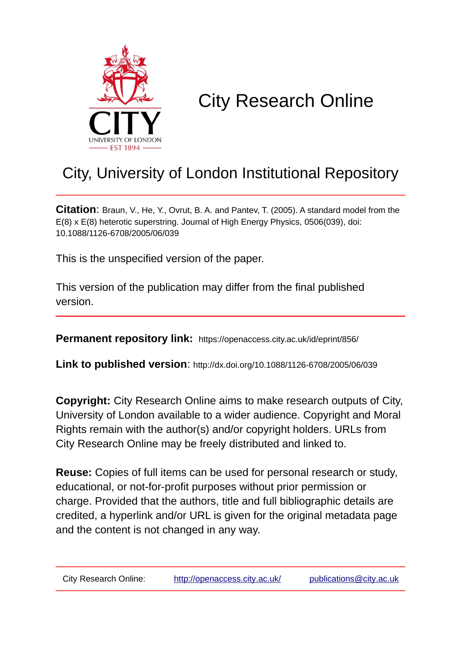

# City Research Online

## City, University of London Institutional Repository

**Citation**: Braun, V., He, Y., Ovrut, B. A. and Pantev, T. (2005). A standard model from the E(8) x E(8) heterotic superstring. Journal of High Energy Physics, 0506(039), doi: 10.1088/1126-6708/2005/06/039

This is the unspecified version of the paper.

This version of the publication may differ from the final published version.

**Permanent repository link:** https://openaccess.city.ac.uk/id/eprint/856/

**Link to published version**: http://dx.doi.org/10.1088/1126-6708/2005/06/039

**Copyright:** City Research Online aims to make research outputs of City, University of London available to a wider audience. Copyright and Moral Rights remain with the author(s) and/or copyright holders. URLs from City Research Online may be freely distributed and linked to.

**Reuse:** Copies of full items can be used for personal research or study, educational, or not-for-profit purposes without prior permission or charge. Provided that the authors, title and full bibliographic details are credited, a hyperlink and/or URL is given for the original metadata page and the content is not changed in any way.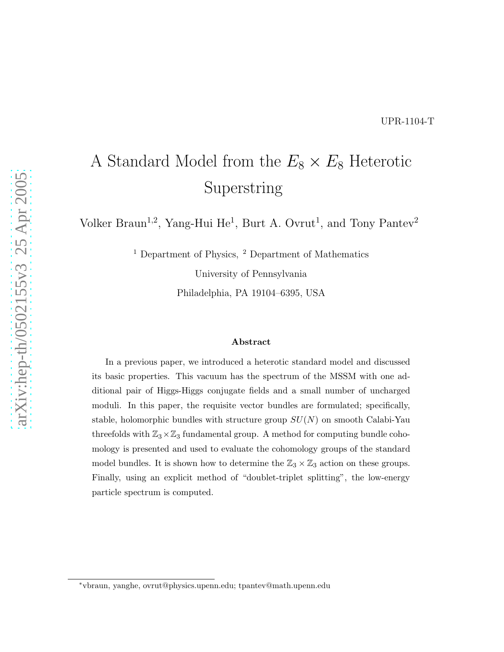## A Standard Model from the  $E_8 \times E_8$  Heterotic Superstring

Volker Braun<sup>1,2</sup>, Yang-Hui He<sup>1</sup>, Burt A. Ovrut<sup>1</sup>, and Tony Pantev<sup>2</sup>

<sup>1</sup> Department of Physics, <sup>2</sup> Department of Mathematics

University of Pennsylvania

Philadelphia, PA 19104–6395, USA

#### Abstract

In a previous paper, we introduced a heterotic standard model and discussed its basic properties. This vacuum has the spectrum of the MSSM with one additional pair of Higgs-Higgs conjugate fields and a small number of uncharged moduli. In this paper, the requisite vector bundles are formulated; specifically, stable, holomorphic bundles with structure group  $SU(N)$  on smooth Calabi-Yau threefolds with  $\mathbb{Z}_3\times\mathbb{Z}_3$  fundamental group. A method for computing bundle cohomology is presented and used to evaluate the cohomology groups of the standard model bundles. It is shown how to determine the  $\mathbb{Z}_3 \times \mathbb{Z}_3$  action on these groups. Finally, using an explicit method of "doublet-triplet splitting", the low-energy particle spectrum is computed.

<sup>∗</sup>vbraun, yanghe, ovrut@physics.upenn.edu; tpantev@math.upenn.edu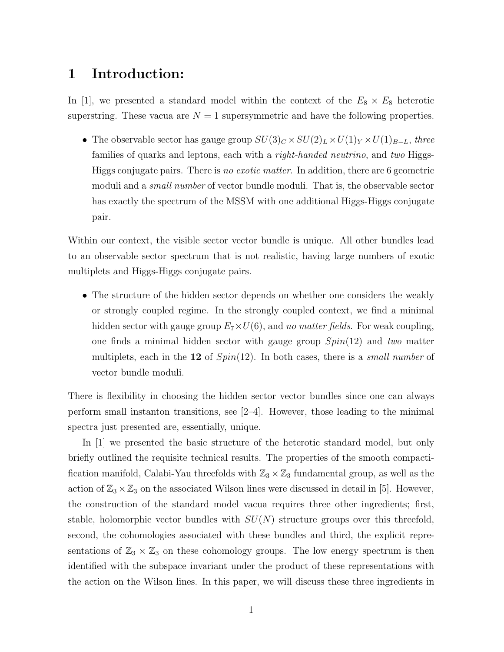### 1 Introduction:

In [1], we presented a standard model within the context of the  $E_8 \times E_8$  heterotic superstring. These vacua are  $N = 1$  supersymmetric and have the following properties.

 $\bullet~$  The observable sector has gauge group  $SU(3)_C\times SU(2)_L\times U(1)_Y\times U(1)_{B-L},$  three families of quarks and leptons, each with a *right-handed neutrino*, and *two* Higgs-Higgs conjugate pairs. There is *no exotic matter*. In addition, there are 6 geometric moduli and a *small number* of vector bundle moduli. That is, the observable sector has exactly the spectrum of the MSSM with one additional Higgs-Higgs conjugate pair.

Within our context, the visible sector vector bundle is unique. All other bundles lead to an observable sector spectrum that is not realistic, having large numbers of exotic multiplets and Higgs-Higgs conjugate pairs.

• The structure of the hidden sector depends on whether one considers the weakly or strongly coupled regime. In the strongly coupled context, we find a minimal hidden sector with gauge group  $E_7 \times U(6)$ , and *no matter fields*. For weak coupling, one finds a minimal hidden sector with gauge group Spin(12) and *two* matter multiplets, each in the 12 of Spin(12). In both cases, there is a *small number* of vector bundle moduli.

There is flexibility in choosing the hidden sector vector bundles since one can always perform small instanton transitions, see [2–4]. However, those leading to the minimal spectra just presented are, essentially, unique.

In [1] we presented the basic structure of the heterotic standard model, but only briefly outlined the requisite technical results. The properties of the smooth compactification manifold, Calabi-Yau threefolds with  $\mathbb{Z}_3 \times \mathbb{Z}_3$  fundamental group, as well as the action of  $\mathbb{Z}_3 \times \mathbb{Z}_3$  on the associated Wilson lines were discussed in detail in [5]. However, the construction of the standard model vacua requires three other ingredients; first, stable, holomorphic vector bundles with  $SU(N)$  structure groups over this threefold, second, the cohomologies associated with these bundles and third, the explicit representations of  $\mathbb{Z}_3 \times \mathbb{Z}_3$  on these cohomology groups. The low energy spectrum is then identified with the subspace invariant under the product of these representations with the action on the Wilson lines. In this paper, we will discuss these three ingredients in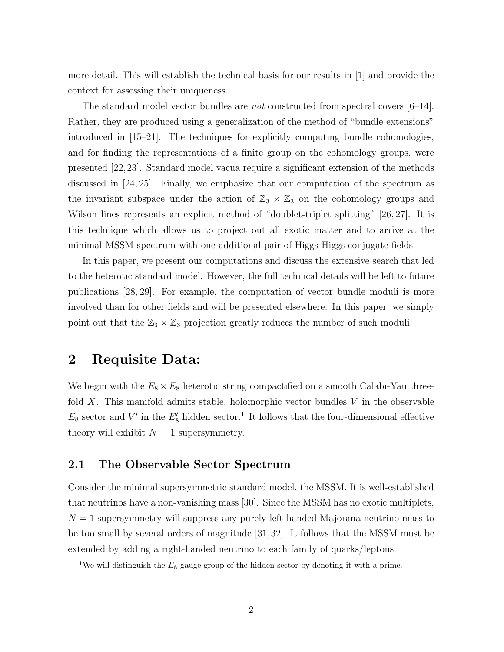more detail. This will establish the technical basis for our results in [1] and provide the context for assessing their uniqueness.

The standard model vector bundles are *not* constructed from spectral covers [6–14]. Rather, they are produced using a generalization of the method of "bundle extensions" introduced in [15–21]. The techniques for explicitly computing bundle cohomologies, and for finding the representations of a finite group on the cohomology groups, were presented [22,23]. Standard model vacua require a significant extension of the methods discussed in [24, 25]. Finally, we emphasize that our computation of the spectrum as the invariant subspace under the action of  $\mathbb{Z}_3 \times \mathbb{Z}_3$  on the cohomology groups and Wilson lines represents an explicit method of "doublet-triplet splitting" [26, 27]. It is this technique which allows us to project out all exotic matter and to arrive at the minimal MSSM spectrum with one additional pair of Higgs-Higgs conjugate fields.

In this paper, we present our computations and discuss the extensive search that led to the heterotic standard model. However, the full technical details will be left to future publications [28, 29]. For example, the computation of vector bundle moduli is more involved than for other fields and will be presented elsewhere. In this paper, we simply point out that the  $\mathbb{Z}_3 \times \mathbb{Z}_3$  projection greatly reduces the number of such moduli.

## 2 Requisite Data:

We begin with the  $E_8 \times E_8$  heterotic string compactified on a smooth Calabi-Yau threefold X. This manifold admits stable, holomorphic vector bundles  $V$  in the observable  $E_8$  sector and V' in the  $E'_8$  hidden sector.<sup>1</sup> It follows that the four-dimensional effective theory will exhibit  $N = 1$  supersymmetry.

#### 2.1 The Observable Sector Spectrum

Consider the minimal supersymmetric standard model, the MSSM. It is well-established that neutrinos have a non-vanishing mass [30]. Since the MSSM has no exotic multiplets,  $N = 1$  supersymmetry will suppress any purely left-handed Majorana neutrino mass to be too small by several orders of magnitude [31,32]. It follows that the MSSM must be extended by adding a right-handed neutrino to each family of quarks/leptons.

<sup>&</sup>lt;sup>1</sup>We will distinguish the  $E_8$  gauge group of the hidden sector by denoting it with a prime.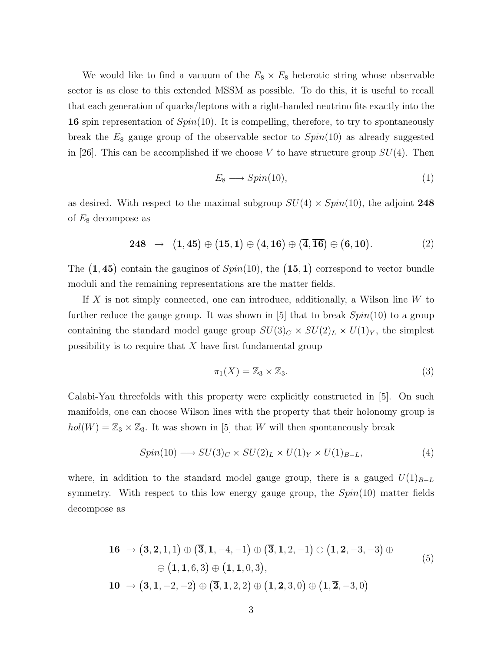We would like to find a vacuum of the  $E_8 \times E_8$  heterotic string whose observable sector is as close to this extended MSSM as possible. To do this, it is useful to recall that each generation of quarks/leptons with a right-handed neutrino fits exactly into the 16 spin representation of  $Spin(10)$ . It is compelling, therefore, to try to spontaneously break the  $E_8$  gauge group of the observable sector to  $Spin(10)$  as already suggested in [26]. This can be accomplished if we choose V to have structure group  $SU(4)$ . Then

$$
E_8 \longrightarrow Spin(10), \tag{1}
$$

as desired. With respect to the maximal subgroup  $SU(4) \times Spin(10)$ , the adjoint 248 of  $E_8$  decompose as

$$
248 \rightarrow (1,45) \oplus (15,1) \oplus (4,16) \oplus (\overline{4},\overline{16}) \oplus (6,10).
$$
 (2)

The  $(1, 45)$  contain the gauginos of  $Spin(10)$ , the  $(15, 1)$  correspond to vector bundle moduli and the remaining representations are the matter fields.

If  $X$  is not simply connected, one can introduce, additionally, a Wilson line  $W$  to further reduce the gauge group. It was shown in [5] that to break  $Spin(10)$  to a group containing the standard model gauge group  $SU(3)_C \times SU(2)_L \times U(1)_Y$ , the simplest possibility is to require that  $X$  have first fundamental group

$$
\pi_1(X) = \mathbb{Z}_3 \times \mathbb{Z}_3. \tag{3}
$$

Calabi-Yau threefolds with this property were explicitly constructed in [5]. On such manifolds, one can choose Wilson lines with the property that their holonomy group is  $hol(W) = \mathbb{Z}_3 \times \mathbb{Z}_3$ . It was shown in [5] that W will then spontaneously break

$$
Spin(10) \longrightarrow SU(3)_C \times SU(2)_L \times U(1)_Y \times U(1)_{B-L},\tag{4}
$$

where, in addition to the standard model gauge group, there is a gauged  $U(1)_{B-L}$ symmetry. With respect to this low energy gauge group, the  $Spin(10)$  matter fields decompose as

16 → (3, 2, 1, 1) ⊕ (3, 1, -4, -1) ⊕ (3, 1, 2, -1) ⊕ (1, 2, -3, -3) ⊕  
\n
$$
\oplus (1, 1, 6, 3) \oplus (1, 1, 0, 3),
$$
\n10 → (3, 1, -2, -2) ⊕ (3, 1, 2, 2) ⊕ (1, 2, 3, 0) ⊕ (1, 2, -3, 0)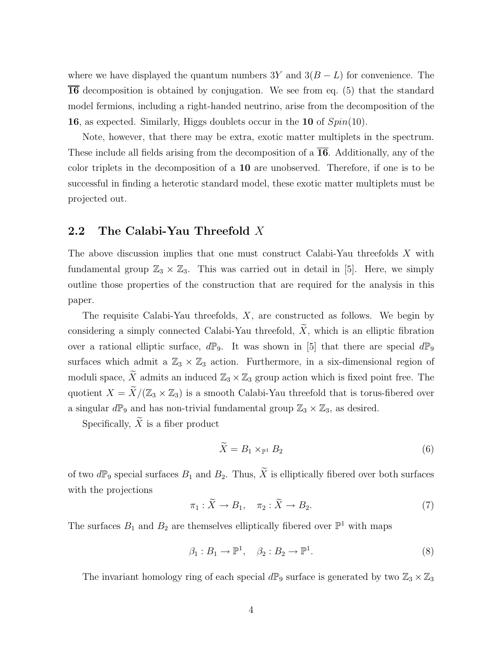where we have displayed the quantum numbers 3Y and  $3(B - L)$  for convenience. The 16 decomposition is obtained by conjugation. We see from eq. (5) that the standard model fermions, including a right-handed neutrino, arise from the decomposition of the 16, as expected. Similarly, Higgs doublets occur in the 10 of Spin(10).

Note, however, that there may be extra, exotic matter multiplets in the spectrum. These include all fields arising from the decomposition of a  $\overline{16}$ . Additionally, any of the color triplets in the decomposition of a 10 are unobserved. Therefore, if one is to be successful in finding a heterotic standard model, these exotic matter multiplets must be projected out.

#### 2.2 The Calabi-Yau Threefold X

The above discussion implies that one must construct Calabi-Yau threefolds X with fundamental group  $\mathbb{Z}_3 \times \mathbb{Z}_3$ . This was carried out in detail in [5]. Here, we simply outline those properties of the construction that are required for the analysis in this paper.

The requisite Calabi-Yau threefolds,  $X$ , are constructed as follows. We begin by considering a simply connected Calabi-Yau threefold,  $\widetilde{X}$ , which is an elliptic fibration over a rational elliptic surface,  $d\mathbb{P}_9$ . It was shown in [5] that there are special  $d\mathbb{P}_9$ surfaces which admit a  $\mathbb{Z}_3 \times \mathbb{Z}_3$  action. Furthermore, in a six-dimensional region of moduli space,  $\widetilde{X}$  admits an induced  $\mathbb{Z}_3 \times \mathbb{Z}_3$  group action which is fixed point free. The quotient  $X = \widetilde{X}/(\mathbb{Z}_3 \times \mathbb{Z}_3)$  is a smooth Calabi-Yau threefold that is torus-fibered over a singular  $d\mathbb{P}_9$  and has non-trivial fundamental group  $\mathbb{Z}_3 \times \mathbb{Z}_3$ , as desired.

Specifically,  $\widetilde{X}$  is a fiber product

$$
\widetilde{X} = B_1 \times_{\mathbb{P}^1} B_2 \tag{6}
$$

of two  $d\mathbb{P}_9$  special surfaces  $B_1$  and  $B_2$ . Thus,  $\widetilde{X}$  is elliptically fibered over both surfaces with the projections

$$
\pi_1: \widetilde{X} \to B_1, \quad \pi_2: \widetilde{X} \to B_2. \tag{7}
$$

The surfaces  $B_1$  and  $B_2$  are themselves elliptically fibered over  $\mathbb{P}^1$  with maps

$$
\beta_1: B_1 \to \mathbb{P}^1, \quad \beta_2: B_2 \to \mathbb{P}^1. \tag{8}
$$

The invariant homology ring of each special  $d\mathbb{P}_9$  surface is generated by two  $\mathbb{Z}_3 \times \mathbb{Z}_3$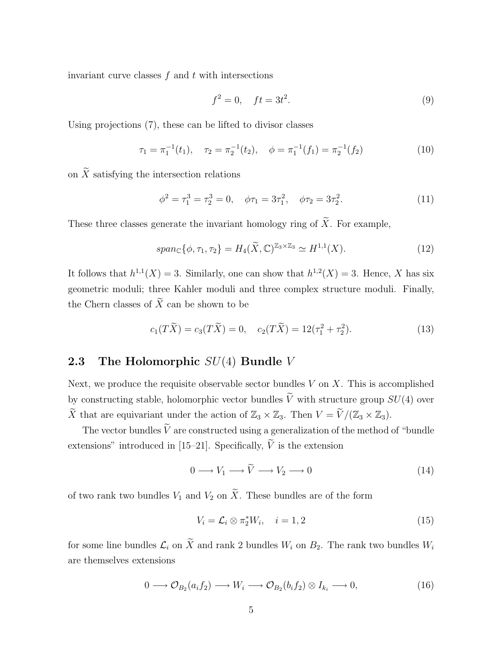invariant curve classes  $f$  and  $t$  with intersections

$$
f^2 = 0, \quad ft = 3t^2. \tag{9}
$$

Using projections (7), these can be lifted to divisor classes

$$
\tau_1 = \pi_1^{-1}(t_1), \quad \tau_2 = \pi_2^{-1}(t_2), \quad \phi = \pi_1^{-1}(f_1) = \pi_2^{-1}(f_2)
$$
 (10)

on  $\widetilde{X}$  satisfying the intersection relations

$$
\phi^2 = \tau_1^3 = \tau_2^3 = 0, \quad \phi \tau_1 = 3\tau_1^2, \quad \phi \tau_2 = 3\tau_2^2. \tag{11}
$$

These three classes generate the invariant homology ring of  $\widetilde{X}$ . For example,

$$
span_{\mathbb{C}}\{\phi,\tau_1,\tau_2\} = H_4(\widetilde{X},\mathbb{C})^{\mathbb{Z}_3\times\mathbb{Z}_3} \simeq H^{1,1}(X). \tag{12}
$$

It follows that  $h^{1,1}(X) = 3$ . Similarly, one can show that  $h^{1,2}(X) = 3$ . Hence, X has six geometric moduli; three Kahler moduli and three complex structure moduli. Finally, the Chern classes of  $\widetilde{X}$  can be shown to be

$$
c_1(T\widetilde{X}) = c_3(T\widetilde{X}) = 0, \quad c_2(T\widetilde{X}) = 12(\tau_1^2 + \tau_2^2). \tag{13}
$$

#### **2.3** The Holomorphic  $SU(4)$  Bundle V

Next, we produce the requisite observable sector bundles  $V$  on  $X$ . This is accomplished by constructing stable, holomorphic vector bundles  $\tilde{V}$  with structure group  $SU(4)$  over  $\widetilde{X}$  that are equivariant under the action of  $\mathbb{Z}_3 \times \mathbb{Z}_3$ . Then  $V = \widetilde{V}/(\mathbb{Z}_3 \times \mathbb{Z}_3)$ .

The vector bundles  $\tilde{V}$  are constructed using a generalization of the method of "bundle" extensions" introduced in [15–21]. Specifically,  $\widetilde{V}$  is the extension

$$
0 \longrightarrow V_1 \longrightarrow \widetilde{V} \longrightarrow V_2 \longrightarrow 0 \tag{14}
$$

of two rank two bundles  $V_1$  and  $V_2$  on  $\widetilde{X}$ . These bundles are of the form

$$
V_i = \mathcal{L}_i \otimes \pi_2^* W_i, \quad i = 1, 2 \tag{15}
$$

for some line bundles  $\mathcal{L}_i$  on  $\widetilde{X}$  and rank 2 bundles  $W_i$  on  $B_2$ . The rank two bundles  $W_i$ are themselves extensions

$$
0 \longrightarrow \mathcal{O}_{B_2}(a_i f_2) \longrightarrow W_i \longrightarrow \mathcal{O}_{B_2}(b_i f_2) \otimes I_{k_i} \longrightarrow 0,
$$
\n(16)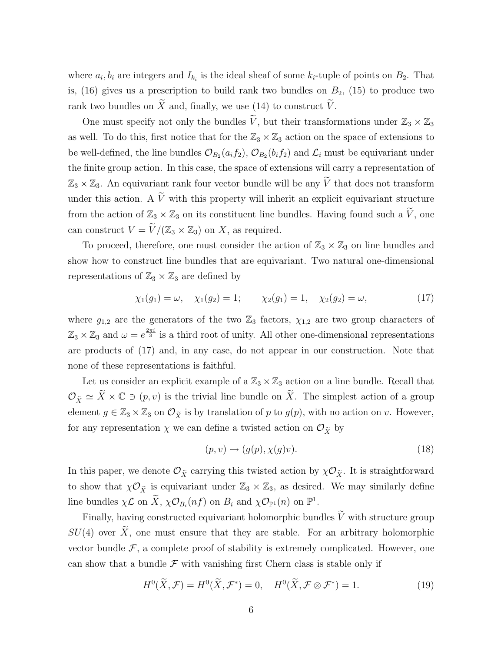where  $a_i, b_i$  are integers and  $I_{k_i}$  is the ideal sheaf of some  $k_i$ -tuple of points on  $B_2$ . That is,  $(16)$  gives us a prescription to build rank two bundles on  $B_2$ ,  $(15)$  to produce two rank two bundles on  $\widetilde{X}$  and, finally, we use (14) to construct  $\widetilde{V}$ .

One must specify not only the bundles  $\tilde{V}$ , but their transformations under  $\mathbb{Z}_3 \times \mathbb{Z}_3$ as well. To do this, first notice that for the  $\mathbb{Z}_3 \times \mathbb{Z}_3$  action on the space of extensions to be well-defined, the line bundles  $\mathcal{O}_{B_2}(a_i f_2)$ ,  $\mathcal{O}_{B_2}(b_i f_2)$  and  $\mathcal{L}_i$  must be equivariant under the finite group action. In this case, the space of extensions will carry a representation of  $\mathbb{Z}_3 \times \mathbb{Z}_3$ . An equivariant rank four vector bundle will be any  $\widetilde{V}$  that does not transform under this action. A  $\tilde{V}$  with this property will inherit an explicit equivariant structure from the action of  $\mathbb{Z}_3 \times \mathbb{Z}_3$  on its constituent line bundles. Having found such a  $\widetilde{V}$ , one can construct  $V = \widetilde{V}/(\mathbb{Z}_3 \times \mathbb{Z}_3)$  on X, as required.

To proceed, therefore, one must consider the action of  $\mathbb{Z}_3 \times \mathbb{Z}_3$  on line bundles and show how to construct line bundles that are equivariant. Two natural one-dimensional representations of  $\mathbb{Z}_3 \times \mathbb{Z}_3$  are defined by

$$
\chi_1(g_1) = \omega, \quad \chi_1(g_2) = 1; \qquad \chi_2(g_1) = 1, \quad \chi_2(g_2) = \omega,
$$
\n(17)

where  $g_{1,2}$  are the generators of the two  $\mathbb{Z}_3$  factors,  $\chi_{1,2}$  are two group characters of  $\mathbb{Z}_3 \times \mathbb{Z}_3$  and  $\omega = e^{\frac{2\pi i}{3}}$  is a third root of unity. All other one-dimensional representations are products of (17) and, in any case, do not appear in our construction. Note that none of these representations is faithful.

Let us consider an explicit example of a  $\mathbb{Z}_3 \times \mathbb{Z}_3$  action on a line bundle. Recall that  $\mathcal{O}_{\tilde{X}} \simeq \tilde{X} \times \mathbb{C} \ni (p, v)$  is the trivial line bundle on  $\tilde{X}$ . The simplest action of a group element  $g \in \mathbb{Z}_3 \times \mathbb{Z}_3$  on  $\mathcal{O}_{\tilde{X}}$  is by translation of p to  $g(p)$ , with no action on v. However, for any representation  $\chi$  we can define a twisted action on  $\mathcal{O}_{\tilde{X}}$  by

$$
(p, v) \mapsto (g(p), \chi(g)v). \tag{18}
$$

In this paper, we denote  $\mathcal{O}_{\tilde{X}}$  carrying this twisted action by  $\chi \mathcal{O}_{\tilde{X}}$ . It is straightforward to show that  $\chi \mathcal{O}_{\tilde{X}}$  is equivariant under  $\mathbb{Z}_3 \times \mathbb{Z}_3$ , as desired. We may similarly define line bundles  $\chi \mathcal{L}$  on  $\widetilde{X}$ ,  $\chi \mathcal{O}_{B_i}(nf)$  on  $B_i$  and  $\chi \mathcal{O}_{\mathbb{P}^1}(n)$  on  $\mathbb{P}^1$ .

Finally, having constructed equivariant holomorphic bundles  $\widetilde{V}$  with structure group  $SU(4)$  over  $\widetilde{X}$ , one must ensure that they are stable. For an arbitrary holomorphic vector bundle  $\mathcal F$ , a complete proof of stability is extremely complicated. However, one can show that a bundle  $\mathcal F$  with vanishing first Chern class is stable only if

$$
H^{0}(\widetilde{X}, \mathcal{F}) = H^{0}(\widetilde{X}, \mathcal{F}^{*}) = 0, \quad H^{0}(\widetilde{X}, \mathcal{F} \otimes \mathcal{F}^{*}) = 1.
$$
 (19)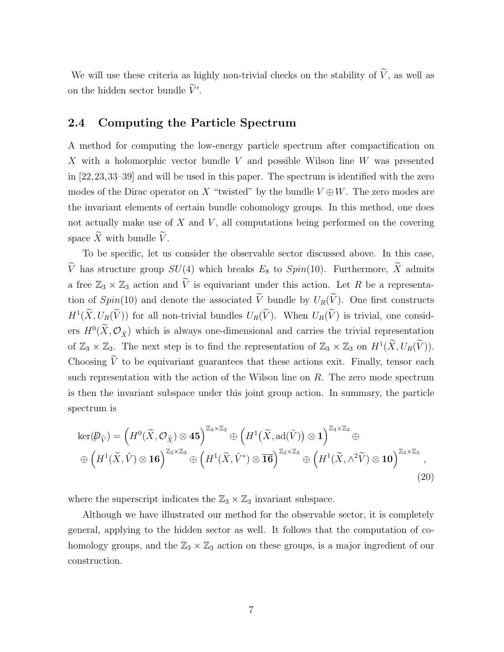We will use these criteria as highly non-trivial checks on the stability of  $\widetilde{V}$ , as well as on the hidden sector bundle  $\tilde{V}'$ .

#### 2.4 Computing the Particle Spectrum

A method for computing the low-energy particle spectrum after compactification on X with a holomorphic vector bundle V and possible Wilson line W was presented in [22,23,33–39] and will be used in this paper. The spectrum is identified with the zero modes of the Dirac operator on X "twisted" by the bundle  $V \oplus W$ . The zero modes are the invariant elements of certain bundle cohomology groups. In this method, one does not actually make use of  $X$  and  $V$ , all computations being performed on the covering space  $\widetilde{X}$  with bundle  $\widetilde{V}$ .

To be specific, let us consider the observable sector discussed above. In this case,  $\widetilde{V}$  has structure group  $SU(4)$  which breaks  $E_8$  to  $Spin(10)$ . Furthermore,  $\widetilde{X}$  admits a free  $\mathbb{Z}_3 \times \mathbb{Z}_3$  action and  $\tilde{V}$  is equivariant under this action. Let R be a representation of  $Spin(10)$  and denote the associated  $\tilde{V}$  bundle by  $U_R(\tilde{V})$ . One first constructs  $H^1(\tilde{X}, U_R(\tilde{V}))$  for all non-trivial bundles  $U_R(\tilde{V})$ . When  $U_R(\tilde{V})$  is trivial, one considers  $H^0(X, \mathcal{O}_{\tilde{X}})$  which is always one-dimensional and carries the trivial representation of  $\mathbb{Z}_3 \times \mathbb{Z}_3$ . The next step is to find the representation of  $\mathbb{Z}_3 \times \mathbb{Z}_3$  on  $H^1(\widetilde{X}, U_R(\widetilde{V}))$ . Choosing  $\tilde{V}$  to be equivariant guarantees that these actions exit. Finally, tensor each such representation with the action of the Wilson line on  $R$ . The zero mode spectrum is then the invariant subspace under this joint group action. In summary, the particle spectrum is

$$
\ker(\mathcal{D}_{\tilde{V}}) = \left(H^{0}(\tilde{X}, \mathcal{O}_{\tilde{X}}) \otimes \mathbf{45}\right)^{\mathbb{Z}_{3} \times \mathbb{Z}_{3}} \oplus \left(H^{1}(\tilde{X}, \text{ad}(\tilde{V})) \otimes \mathbf{1}\right)^{\mathbb{Z}_{3} \times \mathbb{Z}_{3}} \oplus \newline\n\oplus \left(H^{1}(\tilde{X}, \tilde{V}) \otimes \mathbf{16}\right)^{\mathbb{Z}_{3} \times \mathbb{Z}_{3}} \oplus \left(H^{1}(\tilde{X}, \tilde{V}^{*}) \otimes \mathbf{\overline{16}}\right)^{\mathbb{Z}_{3} \times \mathbb{Z}_{3}} \oplus \left(H^{1}(\tilde{X}, \wedge^{2} \tilde{V}) \otimes \mathbf{10}\right)^{\mathbb{Z}_{3} \times \mathbb{Z}_{3}},
$$
\n(20)

where the superscript indicates the  $\mathbb{Z}_3 \times \mathbb{Z}_3$  invariant subspace.

Although we have illustrated our method for the observable sector, it is completely general, applying to the hidden sector as well. It follows that the computation of cohomology groups, and the  $\mathbb{Z}_3 \times \mathbb{Z}_3$  action on these groups, is a major ingredient of our construction.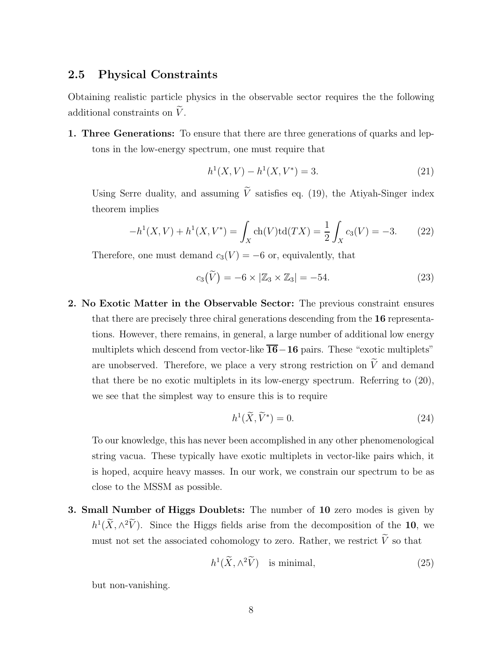#### 2.5 Physical Constraints

Obtaining realistic particle physics in the observable sector requires the the following additional constraints on  $\tilde{V}$ .

1. Three Generations: To ensure that there are three generations of quarks and leptons in the low-energy spectrum, one must require that

$$
h^{1}(X, V) - h^{1}(X, V^{*}) = 3.
$$
\n(21)

Using Serre duality, and assuming  $\tilde{V}$  satisfies eq. (19), the Atiyah-Singer index theorem implies

$$
-h^{1}(X, V) + h^{1}(X, V^{*}) = \int_{X} \text{ch}(V)\text{td}(TX) = \frac{1}{2} \int_{X} c_{3}(V) = -3.
$$
 (22)

Therefore, one must demand  $c_3(V) = -6$  or, equivalently, that

$$
c_3(\widetilde{V}) = -6 \times |\mathbb{Z}_3 \times \mathbb{Z}_3| = -54. \tag{23}
$$

2. No Exotic Matter in the Observable Sector: The previous constraint ensures that there are precisely three chiral generations descending from the 16 representations. However, there remains, in general, a large number of additional low energy multiplets which descend from vector-like  $\overline{16}$  - 16 pairs. These "exotic multiplets" are unobserved. Therefore, we place a very strong restriction on  $\widetilde{V}$  and demand that there be no exotic multiplets in its low-energy spectrum. Referring to (20), we see that the simplest way to ensure this is to require

$$
h^1(\widetilde{X}, \widetilde{V}^*) = 0. \tag{24}
$$

To our knowledge, this has never been accomplished in any other phenomenological string vacua. These typically have exotic multiplets in vector-like pairs which, it is hoped, acquire heavy masses. In our work, we constrain our spectrum to be as close to the MSSM as possible.

3. Small Number of Higgs Doublets: The number of 10 zero modes is given by  $h^1(\tilde{X}, \wedge^2 V)$ . Since the Higgs fields arise from the decomposition of the 10, we must not set the associated cohomology to zero. Rather, we restrict  $\widetilde{V}$  so that

$$
h^1(\widetilde{X}, \wedge^2 \widetilde{V}) \quad \text{is minimal}, \tag{25}
$$

but non-vanishing.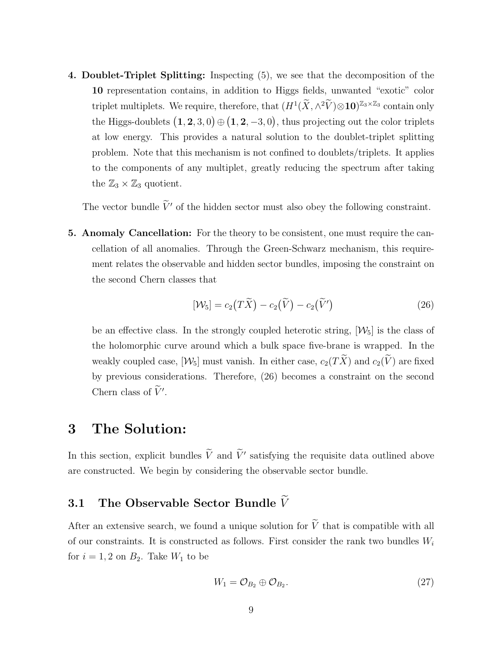4. Doublet-Triplet Splitting: Inspecting (5), we see that the decomposition of the 10 representation contains, in addition to Higgs fields, unwanted "exotic" color triplet multiplets. We require, therefore, that  $(H^1(\tilde{X}, \wedge^2 \tilde{V}) \otimes 10)^{\mathbb{Z}_3 \times \mathbb{Z}_3}$  contain only the Higgs-doublets  $(1, 2, 3, 0) \oplus (1, 2, -3, 0)$ , thus projecting out the color triplets at low energy. This provides a natural solution to the doublet-triplet splitting problem. Note that this mechanism is not confined to doublets/triplets. It applies to the components of any multiplet, greatly reducing the spectrum after taking the  $\mathbb{Z}_3 \times \mathbb{Z}_3$  quotient.

The vector bundle  $\tilde{V}'$  of the hidden sector must also obey the following constraint.

5. Anomaly Cancellation: For the theory to be consistent, one must require the cancellation of all anomalies. Through the Green-Schwarz mechanism, this requirement relates the observable and hidden sector bundles, imposing the constraint on the second Chern classes that

$$
[\mathcal{W}_5] = c_2(\tilde{T}\tilde{X}) - c_2(\tilde{V}) - c_2(\tilde{V}')
$$
\n(26)

be an effective class. In the strongly coupled heterotic string,  $[\mathcal{W}_5]$  is the class of the holomorphic curve around which a bulk space five-brane is wrapped. In the weakly coupled case,  $[\mathcal{W}_5]$  must vanish. In either case,  $c_2(T\widetilde{X})$  and  $c_2(\widetilde{V})$  are fixed by previous considerations. Therefore, (26) becomes a constraint on the second Chern class of  $\widetilde{V}'$ .

## 3 The Solution:

In this section, explicit bundles  $\tilde{V}$  and  $\tilde{V}'$  satisfying the requisite data outlined above are constructed. We begin by considering the observable sector bundle.

## 3.1 The Observable Sector Bundle  $\widetilde{V}$

After an extensive search, we found a unique solution for  $\widetilde{V}$  that is compatible with all of our constraints. It is constructed as follows. First consider the rank two bundles  $W_i$ for  $i = 1, 2$  on  $B_2$ . Take  $W_1$  to be

$$
W_1 = \mathcal{O}_{B_2} \oplus \mathcal{O}_{B_2}.\tag{27}
$$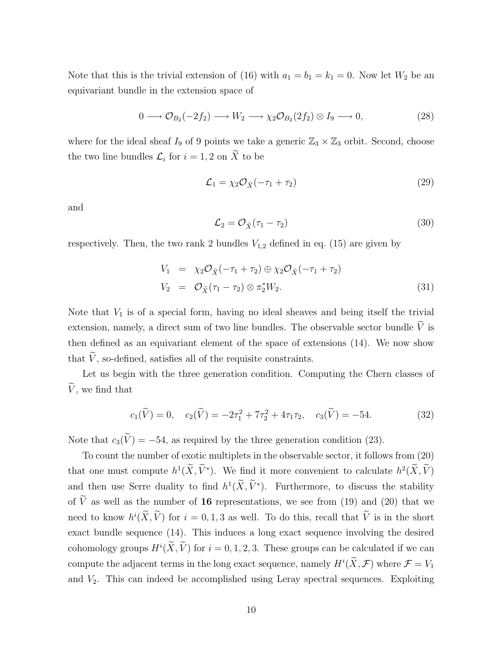Note that this is the trivial extension of (16) with  $a_1 = b_1 = k_1 = 0$ . Now let  $W_2$  be an equivariant bundle in the extension space of

$$
0 \longrightarrow \mathcal{O}_{B_2}(-2f_2) \longrightarrow W_2 \longrightarrow \chi_2 \mathcal{O}_{B_2}(2f_2) \otimes I_9 \longrightarrow 0, \tag{28}
$$

where for the ideal sheaf  $I_9$  of 9 points we take a generic  $\mathbb{Z}_3 \times \mathbb{Z}_3$  orbit. Second, choose the two line bundles  $\mathcal{L}_i$  for  $i = 1, 2$  on X to be

$$
\mathcal{L}_1 = \chi_2 \mathcal{O}_{\widetilde{X}}(-\tau_1 + \tau_2) \tag{29}
$$

and

$$
\mathcal{L}_2 = \mathcal{O}_{\widetilde{X}}(\tau_1 - \tau_2) \tag{30}
$$

respectively. Then, the two rank 2 bundles  $V_{1,2}$  defined in eq. (15) are given by

$$
V_1 = \chi_2 \mathcal{O}_{\tilde{X}}(-\tau_1 + \tau_2) \oplus \chi_2 \mathcal{O}_{\tilde{X}}(-\tau_1 + \tau_2)
$$
  
\n
$$
V_2 = \mathcal{O}_{\tilde{X}}(\tau_1 - \tau_2) \otimes \pi_2^* W_2.
$$
\n(31)

Note that  $V_1$  is of a special form, having no ideal sheaves and being itself the trivial extension, namely, a direct sum of two line bundles. The observable sector bundle  $\widetilde{V}$  is then defined as an equivariant element of the space of extensions (14). We now show that  $\tilde{V}$ , so-defined, satisfies all of the requisite constraints.

Let us begin with the three generation condition. Computing the Chern classes of  $\widetilde{V}$ , we find that

$$
c_1(\widetilde{V}) = 0, \quad c_2(\widetilde{V}) = -2\tau_1^2 + 7\tau_2^2 + 4\tau_1\tau_2, \quad c_3(\widetilde{V}) = -54. \tag{32}
$$

Note that  $c_3(\tilde{V}) = -54$ , as required by the three generation condition (23).

To count the number of exotic multiplets in the observable sector, it follows from (20) that one must compute  $h^1(\tilde{X}, \tilde{V}^*)$ . We find it more convenient to calculate  $h^2(\tilde{X}, \tilde{V})$ and then use Serre duality to find  $h^1(\tilde{X}, \tilde{V}^*)$ . Furthermore, to discuss the stability of  $\tilde{V}$  as well as the number of 16 representations, we see from (19) and (20) that we need to know  $h^{i}(\tilde{X}, \tilde{V})$  for  $i = 0, 1, 3$  as well. To do this, recall that  $\tilde{V}$  is in the short exact bundle sequence (14). This induces a long exact sequence involving the desired cohomology groups  $H^i(X, V)$  for  $i = 0, 1, 2, 3$ . These groups can be calculated if we can compute the adjacent terms in the long exact sequence, namely  $H^i(\tilde{X}, \mathcal{F})$  where  $\mathcal{F} = V_1$ and  $V_2$ . This can indeed be accomplished using Leray spectral sequences. Exploiting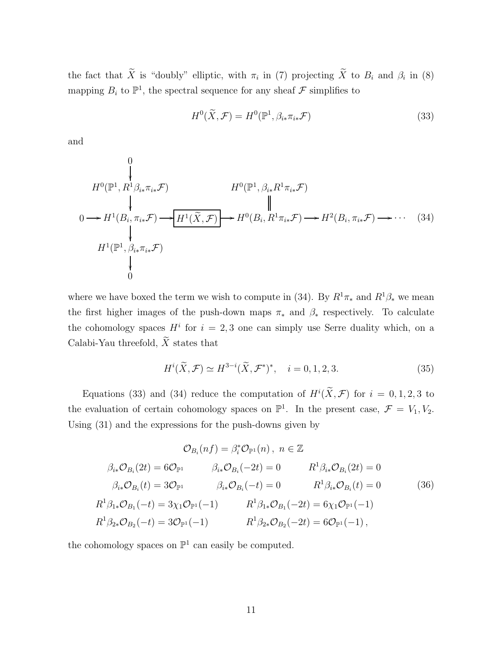the fact that X is "doubly" elliptic, with  $\pi_i$  in (7) projecting X to  $B_i$  and  $\beta_i$  in (8) mapping  $B_i$  to  $\mathbb{P}^1$ , the spectral sequence for any sheaf  $\mathcal F$  simplifies to

$$
H^{0}(\widetilde{X}, \mathcal{F}) = H^{0}(\mathbb{P}^{1}, \beta_{i*} \pi_{i*} \mathcal{F})
$$
\n(33)

and

$$
H^{0}(\mathbb{P}^{1}, R^{1}\beta_{i*}\pi_{i*}\mathcal{F})
$$
\n
$$
0 \longrightarrow H^{1}(B_{i}, \pi_{i*}\mathcal{F}) \longrightarrow H^{1}(\widetilde{X}, \mathcal{F})
$$
\n
$$
\downarrow \qquad \qquad \downarrow
$$
\n
$$
H^{0}(\mathbb{P}^{1}, \beta_{i*}R^{1}\pi_{i*}\mathcal{F})
$$
\n
$$
\downarrow \qquad \qquad \downarrow
$$
\n
$$
H^{1}(\mathbb{P}^{1}, \beta_{i*}\pi_{i*}\mathcal{F})
$$
\n
$$
\downarrow
$$
\n
$$
H^{1}(\mathbb{P}^{1}, \beta_{i*}\pi_{i*}\mathcal{F})
$$
\n
$$
\downarrow
$$
\n
$$
0
$$
\n(34)

where we have boxed the term we wish to compute in (34). By  $R^1\pi_*$  and  $R^1\beta_*$  we mean the first higher images of the push-down maps  $\pi_*$  and  $\beta_*$  respectively. To calculate the cohomology spaces  $H^i$  for  $i = 2, 3$  one can simply use Serre duality which, on a Calabi-Yau threefold,  $\widetilde{X}$  states that

$$
H^{i}(\widetilde{X}, \mathcal{F}) \simeq H^{3-i}(\widetilde{X}, \mathcal{F}^{*})^{*}, \quad i = 0, 1, 2, 3.
$$
 (35)

Equations (33) and (34) reduce the computation of  $H^i(X, \mathcal{F})$  for  $i = 0, 1, 2, 3$  to the evaluation of certain cohomology spaces on  $\mathbb{P}^1$ . In the present case,  $\mathcal{F} = V_1, V_2$ . Using (31) and the expressions for the push-downs given by

$$
\mathcal{O}_{B_i}(nf) = \beta_i^* \mathcal{O}_{\mathbb{P}^1}(n), \ n \in \mathbb{Z}
$$

$$
\beta_{i*} \mathcal{O}_{B_i}(2t) = 6 \mathcal{O}_{\mathbb{P}^1} \qquad \beta_{i*} \mathcal{O}_{B_i}(-2t) = 0 \qquad R^1 \beta_{i*} \mathcal{O}_{B_i}(2t) = 0
$$

$$
\beta_{i*} \mathcal{O}_{B_i}(t) = 3 \mathcal{O}_{\mathbb{P}^1} \qquad \beta_{i*} \mathcal{O}_{B_i}(-t) = 0 \qquad R^1 \beta_{i*} \mathcal{O}_{B_i}(t) = 0
$$

$$
\beta_1^1 \beta_{1*} \mathcal{O}_{B_1}(-t) = 3 \chi_1 \mathcal{O}_{\mathbb{P}^1}(-1) \qquad R^1 \beta_{1*} \mathcal{O}_{B_1}(-2t) = 6 \chi_1 \mathcal{O}_{\mathbb{P}^1}(-1)
$$

$$
\beta_1^1 \beta_{2*} \mathcal{O}_{B_2}(-t) = 3 \mathcal{O}_{\mathbb{P}^1}(-1) \qquad R^1 \beta_{2*} \mathcal{O}_{B_2}(-2t) = 6 \mathcal{O}_{\mathbb{P}^1}(-1),
$$

the cohomology spaces on  $\mathbb{P}^1$  can easily be computed.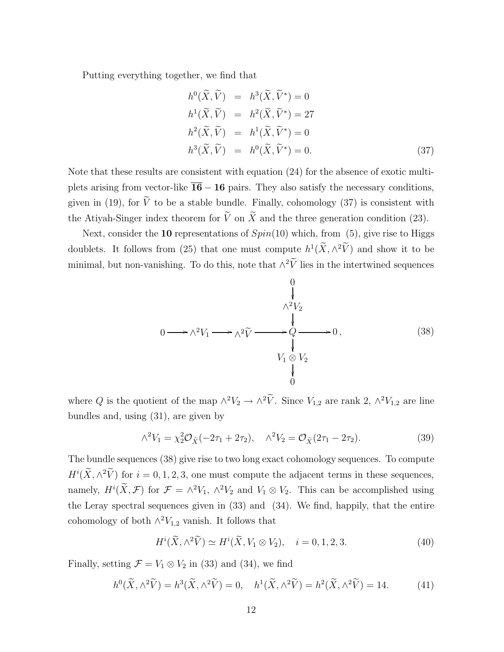Putting everything together, we find that

$$
h^{0}(\widetilde{X}, \widetilde{V}) = h^{3}(\widetilde{X}, \widetilde{V}^{*}) = 0
$$
  
\n
$$
h^{1}(\widetilde{X}, \widetilde{V}) = h^{2}(\widetilde{X}, \widetilde{V}^{*}) = 27
$$
  
\n
$$
h^{2}(\widetilde{X}, \widetilde{V}) = h^{1}(\widetilde{X}, \widetilde{V}^{*}) = 0
$$
  
\n
$$
h^{3}(\widetilde{X}, \widetilde{V}) = h^{0}(\widetilde{X}, \widetilde{V}^{*}) = 0.
$$
\n(37)

Note that these results are consistent with equation (24) for the absence of exotic multiplets arising from vector-like  $\overline{16} - 16$  pairs. They also satisfy the necessary conditions, given in (19), for  $\widetilde{V}$  to be a stable bundle. Finally, cohomology (37) is consistent with the Atiyah-Singer index theorem for  $\tilde{V}$  on  $\tilde{X}$  and the three generation condition (23).

Next, consider the 10 representations of  $Spin(10)$  which, from (5), give rise to Higgs doublets. It follows from (25) that one must compute  $h^1(\tilde{X}, \wedge^2 V)$  and show it to be minimal, but non-vanishing. To do this, note that  $\wedge^2 V$  lies in the intertwined sequences

$$
0 \longrightarrow \wedge^2 V_1 \longrightarrow \wedge^2 \widetilde{V} \longrightarrow \begin{array}{c} 0 \\ \downarrow \\ \wedge^2 V_2 \\ \downarrow \\ V_1 \otimes V_2 \\ 0 \end{array} \longrightarrow 0 , \qquad (38)
$$

where Q is the quotient of the map  $\wedge^2 V_2 \to \wedge^2 V$ . Since  $V_{1,2}$  are rank 2,  $\wedge^2 V_{1,2}$  are line bundles and, using (31), are given by

$$
\wedge^2 V_1 = \chi_2^2 \mathcal{O}_{\tilde{X}}(-2\tau_1 + 2\tau_2), \quad \wedge^2 V_2 = \mathcal{O}_{\tilde{X}}(2\tau_1 - 2\tau_2). \tag{39}
$$

The bundle sequences (38) give rise to two long exact cohomology sequences. To compute  $H^i(\tilde{X}, \wedge^2 \tilde{V})$  for  $i = 0, 1, 2, 3$ , one must compute the adjacent terms in these sequences, namely,  $H^i(X, \mathcal{F})$  for  $\mathcal{F} = \wedge^2 V_1$ ,  $\wedge^2 V_2$  and  $V_1 \otimes V_2$ . This can be accomplished using the Leray spectral sequences given in (33) and (34). We find, happily, that the entire cohomology of both  $\wedge^2 V_{1,2}$  vanish. It follows that

$$
H^{i}(\widetilde{X}, \wedge^{2} \widetilde{V}) \simeq H^{i}(\widetilde{X}, V_{1} \otimes V_{2}), \quad i = 0, 1, 2, 3. \tag{40}
$$

Finally, setting  $\mathcal{F} = V_1 \otimes V_2$  in (33) and (34), we find

$$
h^{0}(\widetilde{X}, \wedge^{2} \widetilde{V}) = h^{3}(\widetilde{X}, \wedge^{2} \widetilde{V}) = 0, \quad h^{1}(\widetilde{X}, \wedge^{2} \widetilde{V}) = h^{2}(\widetilde{X}, \wedge^{2} \widetilde{V}) = 14.
$$
 (41)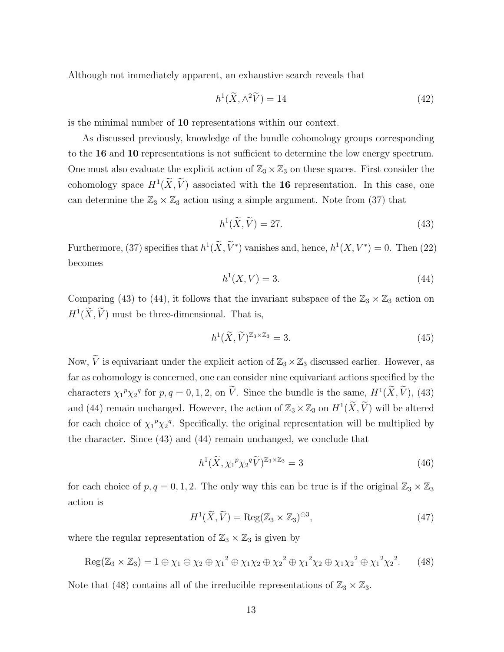Although not immediately apparent, an exhaustive search reveals that

$$
h^1(\widetilde{X}, \wedge^2 \widetilde{V}) = 14\tag{42}
$$

is the minimal number of 10 representations within our context.

As discussed previously, knowledge of the bundle cohomology groups corresponding to the 16 and 10 representations is not sufficient to determine the low energy spectrum. One must also evaluate the explicit action of  $\mathbb{Z}_3 \times \mathbb{Z}_3$  on these spaces. First consider the cohomology space  $H^1(X, V)$  associated with the **16** representation. In this case, one can determine the  $\mathbb{Z}_3 \times \mathbb{Z}_3$  action using a simple argument. Note from (37) that

$$
h^1(\tilde{X}, \tilde{V}) = 27. \tag{43}
$$

Furthermore, (37) specifies that  $h^1(\tilde{X}, \tilde{V}^*)$  vanishes and, hence,  $h^1(X, V^*) = 0$ . Then (22) becomes

$$
h^1(X, V) = 3.\t\t(44)
$$

Comparing (43) to (44), it follows that the invariant subspace of the  $\mathbb{Z}_3 \times \mathbb{Z}_3$  action on  $H^1(\tilde{X}, V)$  must be three-dimensional. That is,

$$
h^{1}(\widetilde{X},\widetilde{V})^{\mathbb{Z}_{3}\times\mathbb{Z}_{3}}=3.
$$
\n(45)

Now,  $\widetilde{V}$  is equivariant under the explicit action of  $\mathbb{Z}_3 \times \mathbb{Z}_3$  discussed earlier. However, as far as cohomology is concerned, one can consider nine equivariant actions specified by the characters  $\chi_1^p \chi_2^q$  for  $p, q = 0, 1, 2,$  on  $\hat{V}$ . Since the bundle is the same,  $H^1(\hat{X}, \hat{V})$ , (43) and (44) remain unchanged. However, the action of  $\mathbb{Z}_3 \times \mathbb{Z}_3$  on  $H^1(\widetilde{X}, \widetilde{V})$  will be altered for each choice of  $\chi_1^p \chi_2^q$ . Specifically, the original representation will be multiplied by the character. Since (43) and (44) remain unchanged, we conclude that

$$
h^1(\widetilde{X}, \chi_1^p \chi_2^q \widetilde{V})^{\mathbb{Z}_3 \times \mathbb{Z}_3} = 3
$$
\n(46)

for each choice of  $p, q = 0, 1, 2$ . The only way this can be true is if the original  $\mathbb{Z}_3 \times \mathbb{Z}_3$ action is

$$
H^{1}(\widetilde{X}, \widetilde{V}) = \text{Reg}(\mathbb{Z}_{3} \times \mathbb{Z}_{3})^{\oplus 3},\tag{47}
$$

where the regular representation of  $\mathbb{Z}_3 \times \mathbb{Z}_3$  is given by

$$
Reg(\mathbb{Z}_{3} \times \mathbb{Z}_{3}) = 1 \oplus \chi_{1} \oplus \chi_{2} \oplus {\chi_{1}}^{2} \oplus {\chi_{1}}\chi_{2} \oplus {\chi_{2}}^{2} \oplus {\chi_{1}}^{2}\chi_{2} \oplus {\chi_{1}}\chi_{2}^{2} \oplus {\chi_{1}}^{2}{\chi_{2}}^{2}.
$$
 (48)

Note that (48) contains all of the irreducible representations of  $\mathbb{Z}_3 \times \mathbb{Z}_3$ .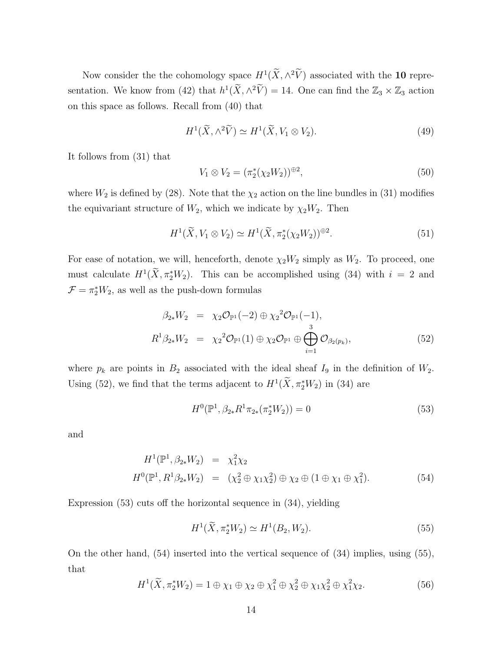Now consider the the cohomology space  $H^1(\tilde{X}, \wedge^2 V)$  associated with the 10 representation. We know from (42) that  $h^1(\tilde{X}, \wedge^2 \tilde{V}) = 14$ . One can find the  $\mathbb{Z}_3 \times \mathbb{Z}_3$  action on this space as follows. Recall from (40) that

$$
H^{1}(\widetilde{X}, \wedge^{2} \widetilde{V}) \simeq H^{1}(\widetilde{X}, V_{1} \otimes V_{2}). \tag{49}
$$

It follows from (31) that

$$
V_1 \otimes V_2 = (\pi_2^*(\chi_2 W_2))^{\oplus 2},\tag{50}
$$

where  $W_2$  is defined by (28). Note that the  $\chi_2$  action on the line bundles in (31) modifies the equivariant structure of  $W_2$ , which we indicate by  $\chi_2W_2$ . Then

$$
H^1(\widetilde{X}, V_1 \otimes V_2) \simeq H^1(\widetilde{X}, \pi_2^*(\chi_2 W_2))^{\oplus 2}.
$$
\n
$$
(51)
$$

For ease of notation, we will, henceforth, denote  $\chi_2W_2$  simply as  $W_2$ . To proceed, one must calculate  $H^1(\tilde{X}, \pi_2^*W_2)$ . This can be accomplished using (34) with  $i = 2$  and  $\mathcal{F} = \pi_2^* W_2$ , as well as the push-down formulas

$$
\beta_{2*}W_2 = \chi_2 \mathcal{O}_{\mathbb{P}^1}(-2) \oplus \chi_2^2 \mathcal{O}_{\mathbb{P}^1}(-1), \nR^1 \beta_{2*}W_2 = \chi_2^2 \mathcal{O}_{\mathbb{P}^1}(1) \oplus \chi_2 \mathcal{O}_{\mathbb{P}^1} \oplus \bigoplus_{i=1}^3 \mathcal{O}_{\beta_2(p_k)},
$$
\n(52)

where  $p_k$  are points in  $B_2$  associated with the ideal sheaf  $I_9$  in the definition of  $W_2$ . Using (52), we find that the terms adjacent to  $H^1(\tilde{X}, \pi_2^*W_2)$  in (34) are

$$
H^{0}(\mathbb{P}^{1}, \beta_{2*}R^{1}\pi_{2*}(\pi_{2}^{*}W_{2})) = 0
$$
\n(53)

and

$$
H^{1}(\mathbb{P}^{1}, \beta_{2*}W_{2}) = \chi_{1}^{2}\chi_{2}
$$
  
\n
$$
H^{0}(\mathbb{P}^{1}, R^{1}\beta_{2*}W_{2}) = (\chi_{2}^{2} \oplus \chi_{1}\chi_{2}^{2}) \oplus \chi_{2} \oplus (1 \oplus \chi_{1} \oplus \chi_{1}^{2}).
$$
\n(54)

Expression (53) cuts off the horizontal sequence in (34), yielding

$$
H^{1}(\tilde{X}, \pi_{2}^{*}W_{2}) \simeq H^{1}(B_{2}, W_{2}).
$$
\n(55)

On the other hand, (54) inserted into the vertical sequence of (34) implies, using (55), that

$$
H^{1}(\tilde{X}, \pi_{2}^{*}W_{2}) = 1 \oplus \chi_{1} \oplus \chi_{2} \oplus \chi_{1}^{2} \oplus \chi_{2}^{2} \oplus \chi_{1}\chi_{2}^{2} \oplus \chi_{1}^{2}\chi_{2}. \tag{56}
$$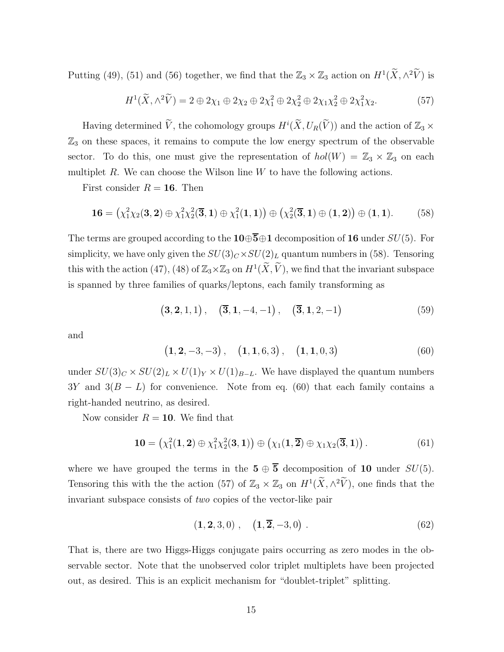Putting (49), (51) and (56) together, we find that the  $\mathbb{Z}_3 \times \mathbb{Z}_3$  action on  $H^1(\widetilde{X}, \wedge^2 \widetilde{V})$  is

$$
H^1(\widetilde{X}, \wedge^2 \widetilde{V}) = 2 \oplus 2\chi_1 \oplus 2\chi_2 \oplus 2\chi_1^2 \oplus 2\chi_2^2 \oplus 2\chi_1\chi_2^2 \oplus 2\chi_1^2\chi_2. \tag{57}
$$

Having determined  $\widetilde{V}$ , the cohomology groups  $H^i(\widetilde{X}, U_R(\widetilde{V}))$  and the action of  $\mathbb{Z}_3 \times$  $\mathbb{Z}_3$  on these spaces, it remains to compute the low energy spectrum of the observable sector. To do this, one must give the representation of  $hol(W) = \mathbb{Z}_3 \times \mathbb{Z}_3$  on each multiplet  $R$ . We can choose the Wilson line  $W$  to have the following actions.

First consider  $R = 16$ . Then

$$
16 = \left(\chi_1^2 \chi_2(3,2) \oplus \chi_1^2 \chi_2^2(\overline{3},1) \oplus \chi_1^2(1,1)\right) \oplus \left(\chi_2^2(\overline{3},1) \oplus (1,2)\right) \oplus (1,1). \tag{58}
$$

The terms are grouped according to the  $10\oplus\overline{5}\oplus1$  decomposition of 16 under  $SU(5)$ . For simplicity, we have only given the  $SU(3)_C \times SU(2)_L$  quantum numbers in (58). Tensoring this with the action (47), (48) of  $\mathbb{Z}_3 \times \mathbb{Z}_3$  on  $H^1(\widetilde{X}, \widetilde{V})$ , we find that the invariant subspace is spanned by three families of quarks/leptons, each family transforming as

$$
(3, 2, 1, 1), \quad (\overline{3}, 1, -4, -1), \quad (\overline{3}, 1, 2, -1) \tag{59}
$$

and

$$
(1, 2, -3, -3), (1, 1, 6, 3), (1, 1, 0, 3)
$$
 (60)

under  $SU(3)_C \times SU(2)_L \times U(1)_Y \times U(1)_{B-L}$ . We have displayed the quantum numbers  $3Y$  and  $3(B - L)$  for convenience. Note from eq. (60) that each family contains a right-handed neutrino, as desired.

Now consider  $R = 10$ . We find that

$$
10 = \left(\chi_1^2(1,2) \oplus \chi_1^2 \chi_2^2(3,1)\right) \oplus \left(\chi_1(1,\overline{2}) \oplus \chi_1 \chi_2(\overline{3},1)\right).
$$
 (61)

where we have grouped the terms in the  $5 \oplus \overline{5}$  decomposition of 10 under  $SU(5)$ . Tensoring this with the the action (57) of  $\mathbb{Z}_3 \times \mathbb{Z}_3$  on  $H^1(\widetilde{X}, \wedge^2 \widetilde{V})$ , one finds that the invariant subspace consists of *two* copies of the vector-like pair

$$
(1, 2, 3, 0), \quad (1, \overline{2}, -3, 0).
$$
 (62)

That is, there are two Higgs-Higgs conjugate pairs occurring as zero modes in the observable sector. Note that the unobserved color triplet multiplets have been projected out, as desired. This is an explicit mechanism for "doublet-triplet" splitting.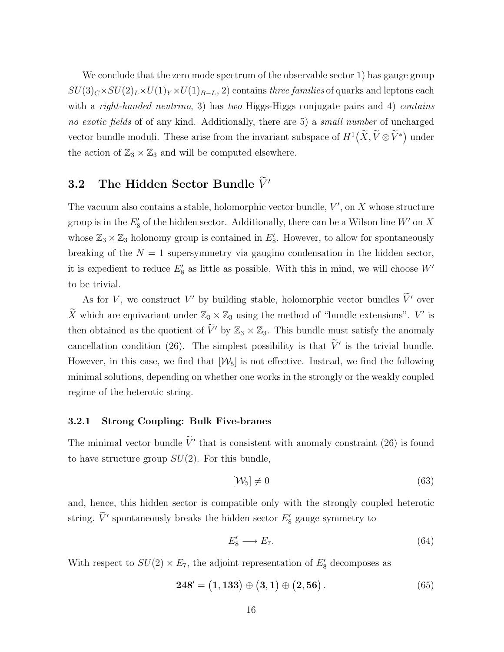We conclude that the zero mode spectrum of the observable sector 1) has gauge group  $SU(3)_C \times SU(2)_L \times U(1)_Y \times U(1)_{B-L}$ , 2) contains *three families* of quarks and leptons each with a *right-handed neutrino*, 3) has *two* Higgs-Higgs conjugate pairs and 4) *contains no exotic fields* of of any kind. Additionally, there are 5) a *small number* of uncharged vector bundle moduli. These arise from the invariant subspace of  $H^1(\widetilde{X}, \widetilde{V} \otimes \widetilde{V}^*)$  under the action of  $\mathbb{Z}_3 \times \mathbb{Z}_3$  and will be computed elsewhere.

## 3.2 The Hidden Sector Bundle  $\widetilde{V}'$

The vacuum also contains a stable, holomorphic vector bundle,  $V'$ , on  $X$  whose structure group is in the  $E'_8$  of the hidden sector. Additionally, there can be a Wilson line  $W'$  on X whose  $\mathbb{Z}_3 \times \mathbb{Z}_3$  holonomy group is contained in  $E'_8$ . However, to allow for spontaneously breaking of the  $N = 1$  supersymmetry via gaugino condensation in the hidden sector, it is expedient to reduce  $E'_{8}$  as little as possible. With this in mind, we will choose  $W'$ to be trivial.

As for V, we construct V' by building stable, holomorphic vector bundles  $\tilde{V}'$  over  $\widetilde{X}$  which are equivariant under  $\mathbb{Z}_3 \times \mathbb{Z}_3$  using the method of "bundle extensions".  $V'$  is then obtained as the quotient of  $\tilde{V}'$  by  $\mathbb{Z}_3 \times \mathbb{Z}_3$ . This bundle must satisfy the anomaly cancellation condition (26). The simplest possibility is that  $\tilde{V}'$  is the trivial bundle. However, in this case, we find that  $[\mathcal{W}_5]$  is not effective. Instead, we find the following minimal solutions, depending on whether one works in the strongly or the weakly coupled regime of the heterotic string.

#### 3.2.1 Strong Coupling: Bulk Five-branes

The minimal vector bundle  $\tilde{V}'$  that is consistent with anomaly constraint (26) is found to have structure group  $SU(2)$ . For this bundle,

$$
[\mathcal{W}_5] \neq 0 \tag{63}
$$

and, hence, this hidden sector is compatible only with the strongly coupled heterotic string.  $\tilde{V}'$  spontaneously breaks the hidden sector  $E'_{8}$  gauge symmetry to

$$
E_8' \longrightarrow E_7. \tag{64}
$$

With respect to  $SU(2) \times E_7$ , the adjoint representation of  $E'_8$  decomposes as

$$
248' = (1, 133) \oplus (3, 1) \oplus (2, 56).
$$
 (65)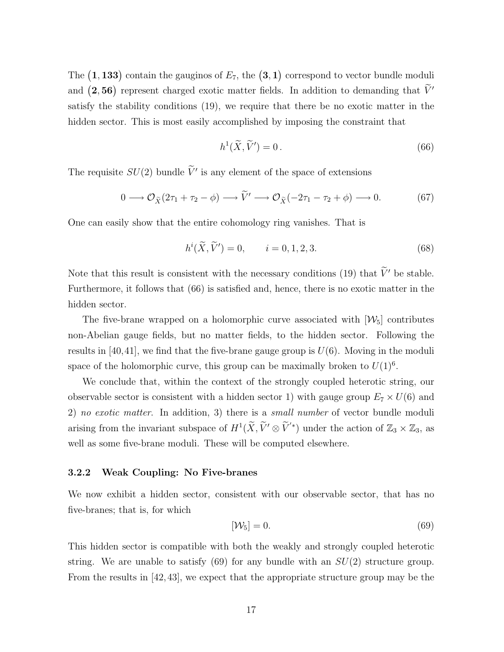The  $(1, 133)$  contain the gauginos of  $E_7$ , the  $(3, 1)$  correspond to vector bundle moduli and  $(2, 56)$  represent charged exotic matter fields. In addition to demanding that  $\tilde{V}'$ satisfy the stability conditions (19), we require that there be no exotic matter in the hidden sector. This is most easily accomplished by imposing the constraint that

$$
h^1(\widetilde{X}, \widetilde{V}') = 0.
$$
\n(66)

The requisite  $SU(2)$  bundle  $\tilde{V}'$  is any element of the space of extensions

$$
0 \longrightarrow \mathcal{O}_{\widetilde{X}}(2\tau_1 + \tau_2 - \phi) \longrightarrow \widetilde{V}' \longrightarrow \mathcal{O}_{\widetilde{X}}(-2\tau_1 - \tau_2 + \phi) \longrightarrow 0. \tag{67}
$$

One can easily show that the entire cohomology ring vanishes. That is

$$
h^{i}(\tilde{X}, \tilde{V}') = 0, \qquad i = 0, 1, 2, 3.
$$
 (68)

Note that this result is consistent with the necessary conditions (19) that  $\widetilde{V}'$  be stable. Furthermore, it follows that (66) is satisfied and, hence, there is no exotic matter in the hidden sector.

The five-brane wrapped on a holomorphic curve associated with  $[\mathcal{W}_5]$  contributes non-Abelian gauge fields, but no matter fields, to the hidden sector. Following the results in  $[40, 41]$ , we find that the five-brane gauge group is  $U(6)$ . Moving in the moduli space of the holomorphic curve, this group can be maximally broken to  $U(1)^6$ .

We conclude that, within the context of the strongly coupled heterotic string, our observable sector is consistent with a hidden sector 1) with gauge group  $E_7 \times U(6)$  and 2) *no exotic matter*. In addition, 3) there is a *small number* of vector bundle moduli arising from the invariant subspace of  $H^1(\widetilde{X}, \widetilde{V}' \otimes \widetilde{V}'^*)$  under the action of  $\mathbb{Z}_3 \times \mathbb{Z}_3$ , as well as some five-brane moduli. These will be computed elsewhere.

#### 3.2.2 Weak Coupling: No Five-branes

We now exhibit a hidden sector, consistent with our observable sector, that has no five-branes; that is, for which

$$
[\mathcal{W}_5] = 0. \tag{69}
$$

This hidden sector is compatible with both the weakly and strongly coupled heterotic string. We are unable to satisfy (69) for any bundle with an  $SU(2)$  structure group. From the results in [42,43], we expect that the appropriate structure group may be the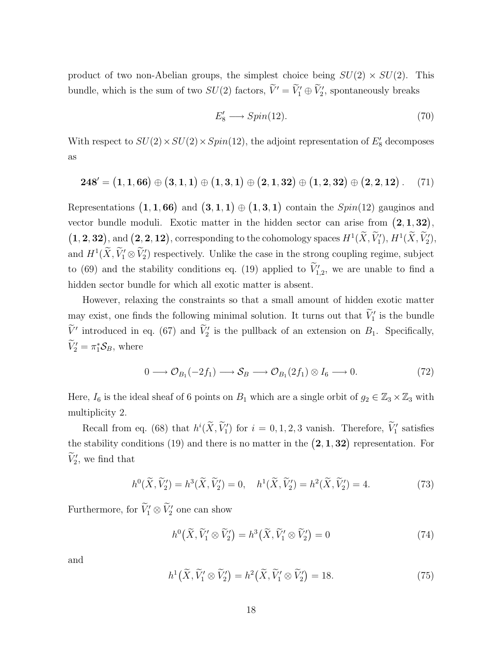product of two non-Abelian groups, the simplest choice being  $SU(2) \times SU(2)$ . This bundle, which is the sum of two  $SU(2)$  factors,  $\widetilde{V}' = \widetilde{V}'_1 \oplus \widetilde{V}'_2$ , spontaneously breaks

$$
E_8' \longrightarrow Spin(12). \tag{70}
$$

With respect to  $SU(2) \times SU(2) \times Spin(12)$ , the adjoint representation of  $E'_8$  decomposes as

$$
\mathbf{248}' = (1, \mathbf{1}, \mathbf{66}) \oplus (3, \mathbf{1}, \mathbf{1}) \oplus (1, \mathbf{3}, \mathbf{1}) \oplus (2, \mathbf{1}, \mathbf{32}) \oplus (1, \mathbf{2}, \mathbf{32}) \oplus (2, \mathbf{2}, \mathbf{12})
$$
. (71)

Representations  $(1, 1, 66)$  and  $(3, 1, 1) \oplus (1, 3, 1)$  contain the  $Spin(12)$  gauginos and vector bundle moduli. Exotic matter in the hidden sector can arise from  $(2,1,32)$ ,  $(1, 2, 32)$ , and  $(2, 2, 12)$ , corresponding to the cohomology spaces  $H^1(\widetilde{X}, \widetilde{V}'_1)$ ,  $H^1(\widetilde{X}, \widetilde{V}'_2)$ , and  $H^1(\widetilde{X}, \widetilde{V}'_1 \otimes \widetilde{V}'_2)$  respectively. Unlike the case in the strong coupling regime, subject to (69) and the stability conditions eq. (19) applied to  $V'_{1,2}$ , we are unable to find a hidden sector bundle for which all exotic matter is absent.

However, relaxing the constraints so that a small amount of hidden exotic matter may exist, one finds the following minimal solution. It turns out that  $\widetilde{V}'_1$  is the bundle  $\widetilde{V}'$  introduced in eq. (67) and  $\widetilde{V}'_2$  is the pullback of an extension on  $B_1$ . Specifically,  $\widetilde{V}'_2 = \pi_1^* \mathcal{S}_B$ , where

$$
0 \longrightarrow \mathcal{O}_{B_1}(-2f_1) \longrightarrow \mathcal{S}_B \longrightarrow \mathcal{O}_{B_1}(2f_1) \otimes I_6 \longrightarrow 0. \tag{72}
$$

Here,  $I_6$  is the ideal sheaf of 6 points on  $B_1$  which are a single orbit of  $g_2 \in \mathbb{Z}_3 \times \mathbb{Z}_3$  with multiplicity 2.

Recall from eq. (68) that  $h^i(\tilde{X}, \tilde{V}_1')$  for  $i = 0, 1, 2, 3$  vanish. Therefore,  $\tilde{V}_1'$  satisfies the stability conditions (19) and there is no matter in the  $(2, 1, 32)$  representation. For  $\widetilde{V}'_2$ , we find that

$$
h^{0}(\tilde{X}, \tilde{V}'_{2}) = h^{3}(\tilde{X}, \tilde{V}'_{2}) = 0, \quad h^{1}(\tilde{X}, \tilde{V}'_{2}) = h^{2}(\tilde{X}, \tilde{V}'_{2}) = 4.
$$
 (73)

Furthermore, for  $\widetilde{V}'_1 \otimes \widetilde{V}'_2$  one can show

$$
h^{0}\left(\widetilde{X},\widetilde{V}_{1}'\otimes\widetilde{V}_{2}'\right) = h^{3}\left(\widetilde{X},\widetilde{V}_{1}'\otimes\widetilde{V}_{2}'\right) = 0\tag{74}
$$

and

$$
h^1\big(\widetilde{X}, \widetilde{V}'_1 \otimes \widetilde{V}'_2\big) = h^2\big(\widetilde{X}, \widetilde{V}'_1 \otimes \widetilde{V}'_2\big) = 18. \tag{75}
$$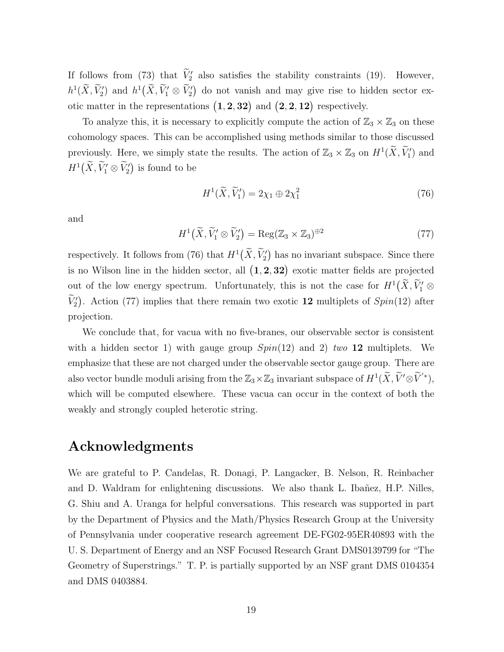If follows from (73) that  $V'_2$  also satisfies the stability constraints (19). However,  $h^1(\widetilde{X}, \widetilde{V}_1')$  and  $h^1(\widetilde{X}, \widetilde{V}_1' \otimes \widetilde{V}_2')$  do not vanish and may give rise to hidden sector exotic matter in the representations  $(1, 2, 32)$  and  $(2, 2, 12)$  respectively.

To analyze this, it is necessary to explicitly compute the action of  $\mathbb{Z}_3 \times \mathbb{Z}_3$  on these cohomology spaces. This can be accomplished using methods similar to those discussed previously. Here, we simply state the results. The action of  $\mathbb{Z}_3 \times \mathbb{Z}_3$  on  $H^1(\widetilde{X}, \widetilde{V}'_1)$  and  $H^1(\widetilde{X},\widetilde{V}'_1 \otimes \widetilde{V}'_2)$  is found to be

$$
H^1(\widetilde{X}, \widetilde{V}_1') = 2\chi_1 \oplus 2\chi_1^2 \tag{76}
$$

and

$$
H^{1}\left(\widetilde{X},\widetilde{V}_{1}'\otimes\widetilde{V}_{2}'\right) = \operatorname{Reg}(\mathbb{Z}_{3}\times\mathbb{Z}_{3})^{\oplus 2}
$$
\n(77)

respectively. It follows from (76) that  $H^1(\widetilde{X}, \widetilde{V}'_2)$  has no invariant subspace. Since there is no Wilson line in the hidden sector, all  $(1, 2, 32)$  exotic matter fields are projected out of the low energy spectrum. Unfortunately, this is not the case for  $H^1(\widetilde{X}, \widetilde{V}_1' \otimes$  $\widetilde{V}'_2$ . Action (77) implies that there remain two exotic 12 multiplets of  $Spin(12)$  after projection.

We conclude that, for vacua with no five-branes, our observable sector is consistent with a hidden sector 1) with gauge group Spin(12) and 2) *two* 12 multiplets. We emphasize that these are not charged under the observable sector gauge group. There are also vector bundle moduli arising from the  $\mathbb{Z}_3 \times \mathbb{Z}_3$  invariant subspace of  $H^1(\widetilde{X}, \widetilde{V}' \otimes \widetilde{V}'^*)$ , which will be computed elsewhere. These vacua can occur in the context of both the weakly and strongly coupled heterotic string.

## Acknowledgments

We are grateful to P. Candelas, R. Donagi, P. Langacker, B. Nelson, R. Reinbacher and D. Waldram for enlightening discussions. We also thank L. Ibañez, H.P. Nilles, G. Shiu and A. Uranga for helpful conversations. This research was supported in part by the Department of Physics and the Math/Physics Research Group at the University of Pennsylvania under cooperative research agreement DE-FG02-95ER40893 with the U. S. Department of Energy and an NSF Focused Research Grant DMS0139799 for "The Geometry of Superstrings." T. P. is partially supported by an NSF grant DMS 0104354 and DMS 0403884.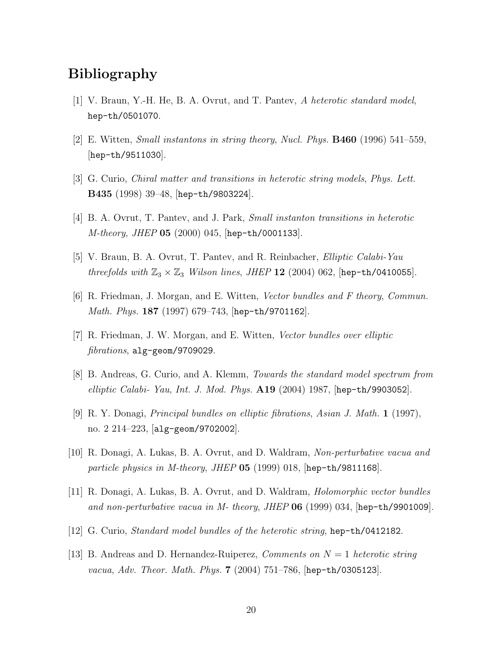## Bibliography

- [1] V. Braun, Y.-H. He, B. A. Ovrut, and T. Pantev, *A heterotic standard model*, hep-th/0501070.
- [2] E. Witten, *Small instantons in string theory*, *Nucl. Phys.* B460 (1996) 541–559, [hep-th/9511030].
- [3] G. Curio, *Chiral matter and transitions in heterotic string models*, *Phys. Lett.* B435 (1998) 39–48, [hep-th/9803224].
- [4] B. A. Ovrut, T. Pantev, and J. Park, *Small instanton transitions in heterotic M-theory*, *JHEP* 05 (2000) 045, [hep-th/0001133].
- [5] V. Braun, B. A. Ovrut, T. Pantev, and R. Reinbacher, *Elliptic Calabi-Yau threefolds with*  $\mathbb{Z}_3 \times \mathbb{Z}_3$  *Wilson lines, JHEP* 12 (2004) 062, [hep-th/0410055].
- [6] R. Friedman, J. Morgan, and E. Witten, *Vector bundles and F theory*, *Commun. Math. Phys.* 187 (1997) 679–743, [hep-th/9701162].
- [7] R. Friedman, J. W. Morgan, and E. Witten, *Vector bundles over elliptic fibrations*, alg-geom/9709029.
- [8] B. Andreas, G. Curio, and A. Klemm, *Towards the standard model spectrum from elliptic Calabi- Yau*, *Int. J. Mod. Phys.* A19 (2004) 1987, [hep-th/9903052].
- [9] R. Y. Donagi, *Principal bundles on elliptic fibrations*, *Asian J. Math.* 1 (1997), no. 2 214–223, [alg-geom/9702002].
- [10] R. Donagi, A. Lukas, B. A. Ovrut, and D. Waldram, *Non-perturbative vacua and particle physics in M-theory*, *JHEP* 05 (1999) 018, [hep-th/9811168].
- [11] R. Donagi, A. Lukas, B. A. Ovrut, and D. Waldram, *Holomorphic vector bundles and non-perturbative vacua in M- theory*, *JHEP* 06 (1999) 034, [hep-th/9901009].
- [12] G. Curio, *Standard model bundles of the heterotic string*, hep-th/0412182.
- [13] B. Andreas and D. Hernandez-Ruiperez, *Comments on* N = 1 *heterotic string vacua*, *Adv. Theor. Math. Phys.* 7 (2004) 751–786, [hep-th/0305123].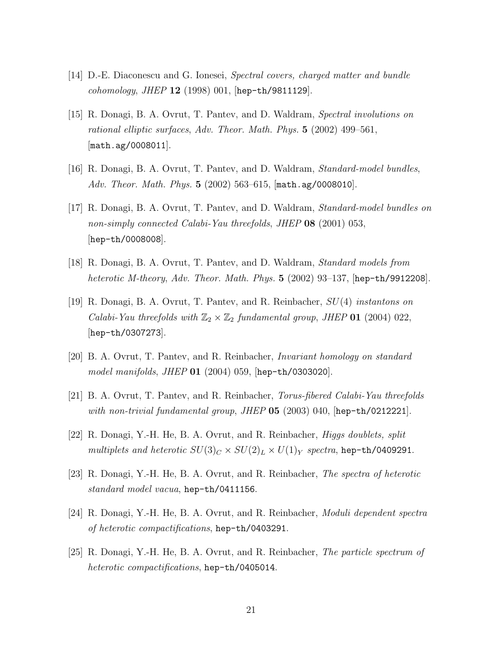- [14] D.-E. Diaconescu and G. Ionesei, *Spectral covers, charged matter and bundle cohomology*, *JHEP* 12 (1998) 001, [hep-th/9811129].
- [15] R. Donagi, B. A. Ovrut, T. Pantev, and D. Waldram, *Spectral involutions on rational elliptic surfaces*, *Adv. Theor. Math. Phys.* 5 (2002) 499–561, [math.ag/0008011].
- [16] R. Donagi, B. A. Ovrut, T. Pantev, and D. Waldram, *Standard-model bundles*, *Adv. Theor. Math. Phys.* 5 (2002) 563–615, [math.ag/0008010].
- [17] R. Donagi, B. A. Ovrut, T. Pantev, and D. Waldram, *Standard-model bundles on non-simply connected Calabi-Yau threefolds*, *JHEP* 08 (2001) 053, [hep-th/0008008].
- [18] R. Donagi, B. A. Ovrut, T. Pantev, and D. Waldram, *Standard models from heterotic M-theory*, *Adv. Theor. Math. Phys.* 5 (2002) 93–137, [hep-th/9912208].
- [19] R. Donagi, B. A. Ovrut, T. Pantev, and R. Reinbacher, SU(4) *instantons on Calabi-Yau threefolds with*  $\mathbb{Z}_2 \times \mathbb{Z}_2$  *fundamental group, JHEP* **01** (2004) 022, [hep-th/0307273].
- [20] B. A. Ovrut, T. Pantev, and R. Reinbacher, *Invariant homology on standard model manifolds*, *JHEP* 01 (2004) 059, [hep-th/0303020].
- [21] B. A. Ovrut, T. Pantev, and R. Reinbacher, *Torus-fibered Calabi-Yau threefolds with non-trivial fundamental group*, *JHEP* 05 (2003) 040, [hep-th/0212221].
- [22] R. Donagi, Y.-H. He, B. A. Ovrut, and R. Reinbacher, *Higgs doublets, split multiplets and heterotic*  $SU(3)_C \times SU(2)_L \times U(1)_Y$  *spectra*, hep-th/0409291.
- [23] R. Donagi, Y.-H. He, B. A. Ovrut, and R. Reinbacher, *The spectra of heterotic standard model vacua*, hep-th/0411156.
- [24] R. Donagi, Y.-H. He, B. A. Ovrut, and R. Reinbacher, *Moduli dependent spectra of heterotic compactifications*, hep-th/0403291.
- [25] R. Donagi, Y.-H. He, B. A. Ovrut, and R. Reinbacher, *The particle spectrum of heterotic compactifications*, hep-th/0405014.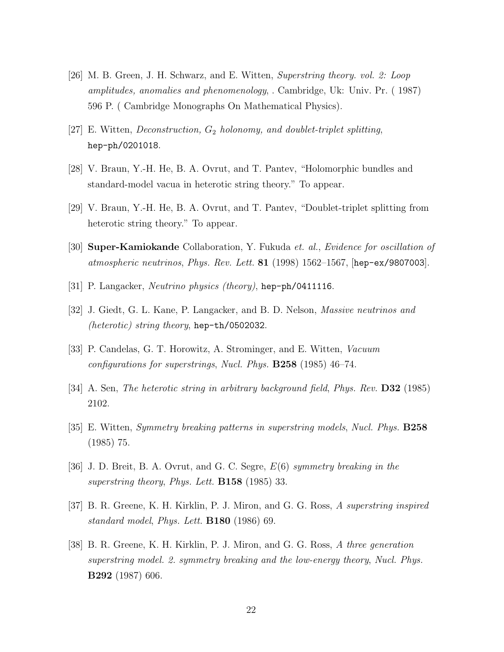- [26] M. B. Green, J. H. Schwarz, and E. Witten, *Superstring theory. vol. 2: Loop amplitudes, anomalies and phenomenology*, . Cambridge, Uk: Univ. Pr. ( 1987) 596 P. ( Cambridge Monographs On Mathematical Physics).
- [27] E. Witten, *Deconstruction*,  $G_2$  *holonomy, and doublet-triplet splitting*, hep-ph/0201018.
- [28] V. Braun, Y.-H. He, B. A. Ovrut, and T. Pantev, "Holomorphic bundles and standard-model vacua in heterotic string theory." To appear.
- [29] V. Braun, Y.-H. He, B. A. Ovrut, and T. Pantev, "Doublet-triplet splitting from heterotic string theory." To appear.
- [30] Super-Kamiokande Collaboration, Y. Fukuda *et. al.*, *Evidence for oscillation of atmospheric neutrinos*, *Phys. Rev. Lett.* 81 (1998) 1562–1567, [hep-ex/9807003].
- [31] P. Langacker, *Neutrino physics (theory)*, hep-ph/0411116.
- [32] J. Giedt, G. L. Kane, P. Langacker, and B. D. Nelson, *Massive neutrinos and (heterotic) string theory*, hep-th/0502032.
- [33] P. Candelas, G. T. Horowitz, A. Strominger, and E. Witten, *Vacuum configurations for superstrings*, *Nucl. Phys.* B258 (1985) 46–74.
- [34] A. Sen, *The heterotic string in arbitrary background field*, *Phys. Rev.* D32 (1985) 2102.
- [35] E. Witten, *Symmetry breaking patterns in superstring models*, *Nucl. Phys.* B258 (1985) 75.
- [36] J. D. Breit, B. A. Ovrut, and G. C. Segre, E(6) *symmetry breaking in the superstring theory*, *Phys. Lett.* B158 (1985) 33.
- [37] B. R. Greene, K. H. Kirklin, P. J. Miron, and G. G. Ross, *A superstring inspired standard model*, *Phys. Lett.* B180 (1986) 69.
- [38] B. R. Greene, K. H. Kirklin, P. J. Miron, and G. G. Ross, *A three generation superstring model. 2. symmetry breaking and the low-energy theory*, *Nucl. Phys.* B292 (1987) 606.